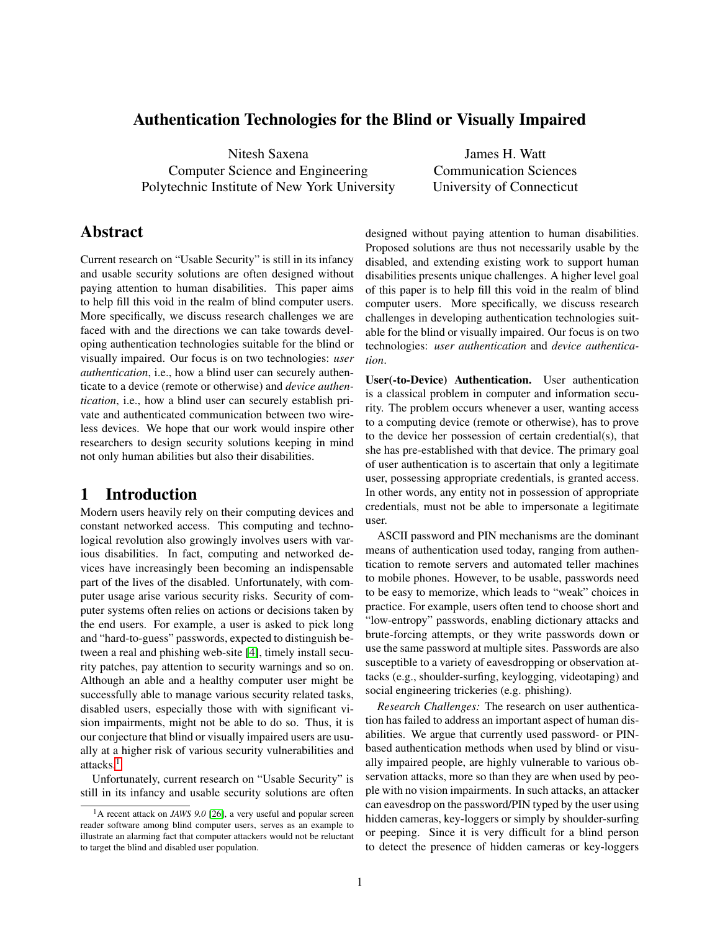## Authentication Technologies for the Blind or Visually Impaired

Nitesh Saxena Computer Science and Engineering Polytechnic Institute of New York University

James H. Watt Communication Sciences University of Connecticut

# Abstract

Current research on "Usable Security" is still in its infancy and usable security solutions are often designed without paying attention to human disabilities. This paper aims to help fill this void in the realm of blind computer users. More specifically, we discuss research challenges we are faced with and the directions we can take towards developing authentication technologies suitable for the blind or visually impaired. Our focus is on two technologies: *user authentication*, i.e., how a blind user can securely authenticate to a device (remote or otherwise) and *device authentication*, i.e., how a blind user can securely establish private and authenticated communication between two wireless devices. We hope that our work would inspire other researchers to design security solutions keeping in mind not only human abilities but also their disabilities.

# 1 Introduction

Modern users heavily rely on their computing devices and constant networked access. This computing and technological revolution also growingly involves users with various disabilities. In fact, computing and networked devices have increasingly been becoming an indispensable part of the lives of the disabled. Unfortunately, with computer usage arise various security risks. Security of computer systems often relies on actions or decisions taken by the end users. For example, a user is asked to pick long and "hard-to-guess" passwords, expected to distinguish between a real and phishing web-site [\[4\]](#page-5-0), timely install security patches, pay attention to security warnings and so on. Although an able and a healthy computer user might be successfully able to manage various security related tasks, disabled users, especially those with with significant vision impairments, might not be able to do so. Thus, it is our conjecture that blind or visually impaired users are usually at a higher risk of various security vulnerabilities and attacks.<sup>[1](#page-0-0)</sup>

Unfortunately, current research on "Usable Security" is still in its infancy and usable security solutions are often designed without paying attention to human disabilities. Proposed solutions are thus not necessarily usable by the disabled, and extending existing work to support human disabilities presents unique challenges. A higher level goal of this paper is to help fill this void in the realm of blind computer users. More specifically, we discuss research challenges in developing authentication technologies suitable for the blind or visually impaired. Our focus is on two technologies: *user authentication* and *device authentication*.

User(-to-Device) Authentication. User authentication is a classical problem in computer and information security. The problem occurs whenever a user, wanting access to a computing device (remote or otherwise), has to prove to the device her possession of certain credential(s), that she has pre-established with that device. The primary goal of user authentication is to ascertain that only a legitimate user, possessing appropriate credentials, is granted access. In other words, any entity not in possession of appropriate credentials, must not be able to impersonate a legitimate user.

ASCII password and PIN mechanisms are the dominant means of authentication used today, ranging from authentication to remote servers and automated teller machines to mobile phones. However, to be usable, passwords need to be easy to memorize, which leads to "weak" choices in practice. For example, users often tend to choose short and "low-entropy" passwords, enabling dictionary attacks and brute-forcing attempts, or they write passwords down or use the same password at multiple sites. Passwords are also susceptible to a variety of eavesdropping or observation attacks (e.g., shoulder-surfing, keylogging, videotaping) and social engineering trickeries (e.g. phishing).

*Research Challenges:* The research on user authentication has failed to address an important aspect of human disabilities. We argue that currently used password- or PINbased authentication methods when used by blind or visually impaired people, are highly vulnerable to various observation attacks, more so than they are when used by people with no vision impairments. In such attacks, an attacker can eavesdrop on the password/PIN typed by the user using hidden cameras, key-loggers or simply by shoulder-surfing or peeping. Since it is very difficult for a blind person to detect the presence of hidden cameras or key-loggers

<span id="page-0-0"></span><sup>&</sup>lt;sup>1</sup>A recent attack on *JAWS* 9.0 [\[26\]](#page-5-1), a very useful and popular screen reader software among blind computer users, serves as an example to illustrate an alarming fact that computer attackers would not be reluctant to target the blind and disabled user population.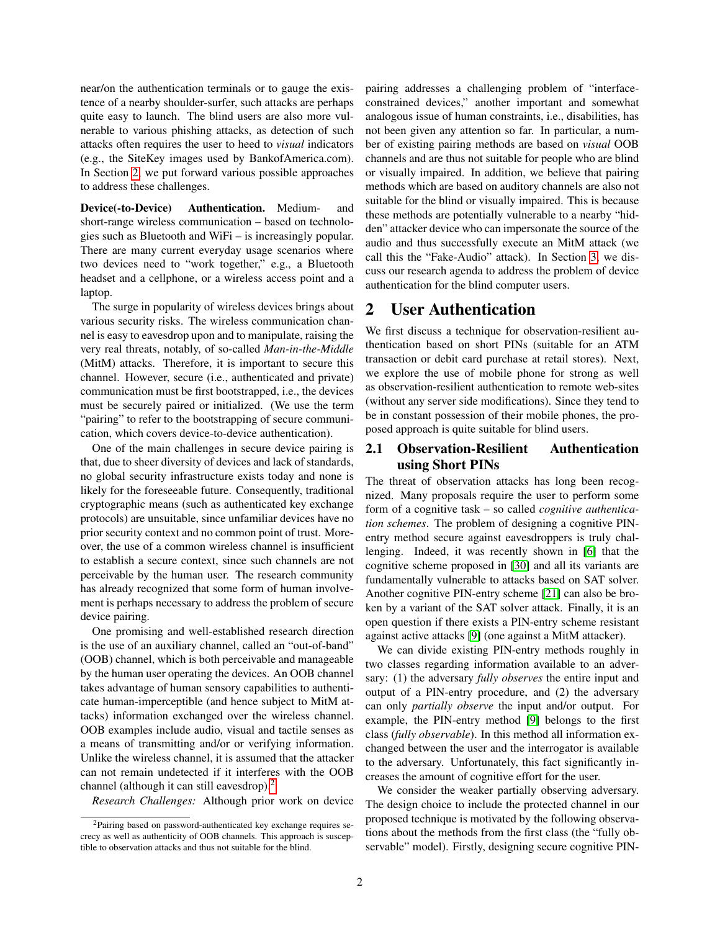near/on the authentication terminals or to gauge the existence of a nearby shoulder-surfer, such attacks are perhaps quite easy to launch. The blind users are also more vulnerable to various phishing attacks, as detection of such attacks often requires the user to heed to *visual* indicators (e.g., the SiteKey images used by BankofAmerica.com). In Section [2,](#page-1-0) we put forward various possible approaches to address these challenges.

Device(-to-Device) Authentication. Medium- and short-range wireless communication – based on technologies such as Bluetooth and WiFi – is increasingly popular. There are many current everyday usage scenarios where two devices need to "work together," e.g., a Bluetooth headset and a cellphone, or a wireless access point and a laptop.

The surge in popularity of wireless devices brings about various security risks. The wireless communication channel is easy to eavesdrop upon and to manipulate, raising the very real threats, notably, of so-called *Man-in-the-Middle* (MitM) attacks. Therefore, it is important to secure this channel. However, secure (i.e., authenticated and private) communication must be first bootstrapped, i.e., the devices must be securely paired or initialized. (We use the term "pairing" to refer to the bootstrapping of secure communication, which covers device-to-device authentication).

One of the main challenges in secure device pairing is that, due to sheer diversity of devices and lack of standards, no global security infrastructure exists today and none is likely for the foreseeable future. Consequently, traditional cryptographic means (such as authenticated key exchange protocols) are unsuitable, since unfamiliar devices have no prior security context and no common point of trust. Moreover, the use of a common wireless channel is insufficient to establish a secure context, since such channels are not perceivable by the human user. The research community has already recognized that some form of human involvement is perhaps necessary to address the problem of secure device pairing.

One promising and well-established research direction is the use of an auxiliary channel, called an "out-of-band" (OOB) channel, which is both perceivable and manageable by the human user operating the devices. An OOB channel takes advantage of human sensory capabilities to authenticate human-imperceptible (and hence subject to MitM attacks) information exchanged over the wireless channel. OOB examples include audio, visual and tactile senses as a means of transmitting and/or or verifying information. Unlike the wireless channel, it is assumed that the attacker can not remain undetected if it interferes with the OOB channel (although it can still eavesdrop).<sup>[2](#page-1-1)</sup>

*Research Challenges:* Although prior work on device

pairing addresses a challenging problem of "interfaceconstrained devices," another important and somewhat analogous issue of human constraints, i.e., disabilities, has not been given any attention so far. In particular, a number of existing pairing methods are based on *visual* OOB channels and are thus not suitable for people who are blind or visually impaired. In addition, we believe that pairing methods which are based on auditory channels are also not suitable for the blind or visually impaired. This is because these methods are potentially vulnerable to a nearby "hidden" attacker device who can impersonate the source of the audio and thus successfully execute an MitM attack (we call this the "Fake-Audio" attack). In Section [3,](#page-3-0) we discuss our research agenda to address the problem of device authentication for the blind computer users.

## <span id="page-1-0"></span>2 User Authentication

We first discuss a technique for observation-resilient authentication based on short PINs (suitable for an ATM transaction or debit card purchase at retail stores). Next, we explore the use of mobile phone for strong as well as observation-resilient authentication to remote web-sites (without any server side modifications). Since they tend to be in constant possession of their mobile phones, the proposed approach is quite suitable for blind users.

### 2.1 Observation-Resilient Authentication using Short PINs

The threat of observation attacks has long been recognized. Many proposals require the user to perform some form of a cognitive task – so called *cognitive authentication schemes*. The problem of designing a cognitive PINentry method secure against eavesdroppers is truly challenging. Indeed, it was recently shown in [\[6\]](#page-5-2) that the cognitive scheme proposed in [\[30\]](#page-5-3) and all its variants are fundamentally vulnerable to attacks based on SAT solver. Another cognitive PIN-entry scheme [\[21\]](#page-5-4) can also be broken by a variant of the SAT solver attack. Finally, it is an open question if there exists a PIN-entry scheme resistant against active attacks [\[9\]](#page-5-5) (one against a MitM attacker).

We can divide existing PIN-entry methods roughly in two classes regarding information available to an adversary: (1) the adversary *fully observes* the entire input and output of a PIN-entry procedure, and (2) the adversary can only *partially observe* the input and/or output. For example, the PIN-entry method [\[9\]](#page-5-5) belongs to the first class (*fully observable*). In this method all information exchanged between the user and the interrogator is available to the adversary. Unfortunately, this fact significantly increases the amount of cognitive effort for the user.

We consider the weaker partially observing adversary. The design choice to include the protected channel in our proposed technique is motivated by the following observations about the methods from the first class (the "fully observable" model). Firstly, designing secure cognitive PIN-

<span id="page-1-1"></span><sup>2</sup>Pairing based on password-authenticated key exchange requires secrecy as well as authenticity of OOB channels. This approach is susceptible to observation attacks and thus not suitable for the blind.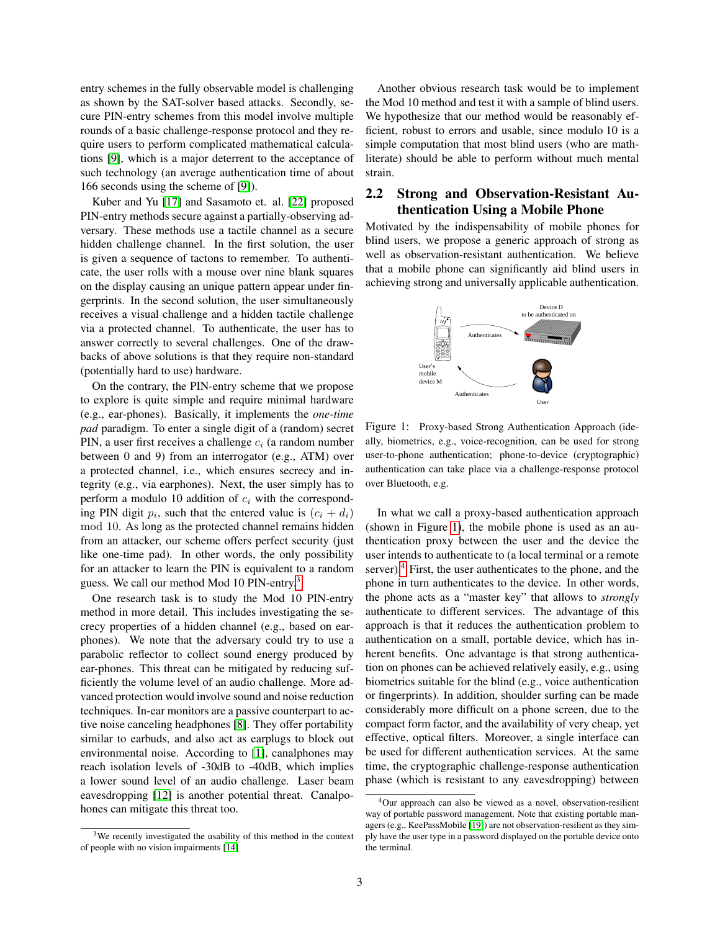entry schemes in the fully observable model is challenging as shown by the SAT-solver based attacks. Secondly, secure PIN-entry schemes from this model involve multiple rounds of a basic challenge-response protocol and they require users to perform complicated mathematical calculations [\[9\]](#page-5-5), which is a major deterrent to the acceptance of such technology (an average authentication time of about 166 seconds using the scheme of [\[9\]](#page-5-5)).

Kuber and Yu [\[17\]](#page-5-6) and Sasamoto et. al. [\[22\]](#page-5-7) proposed PIN-entry methods secure against a partially-observing adversary. These methods use a tactile channel as a secure hidden challenge channel. In the first solution, the user is given a sequence of tactons to remember. To authenticate, the user rolls with a mouse over nine blank squares on the display causing an unique pattern appear under fingerprints. In the second solution, the user simultaneously receives a visual challenge and a hidden tactile challenge via a protected channel. To authenticate, the user has to answer correctly to several challenges. One of the drawbacks of above solutions is that they require non-standard (potentially hard to use) hardware.

On the contrary, the PIN-entry scheme that we propose to explore is quite simple and require minimal hardware (e.g., ear-phones). Basically, it implements the *one-time pad* paradigm. To enter a single digit of a (random) secret PIN, a user first receives a challenge  $c_i$  (a random number between 0 and 9) from an interrogator (e.g., ATM) over a protected channel, i.e., which ensures secrecy and integrity (e.g., via earphones). Next, the user simply has to perform a modulo 10 addition of  $c_i$  with the corresponding PIN digit  $p_i$ , such that the entered value is  $(c_i + d_i)$ mod 10. As long as the protected channel remains hidden from an attacker, our scheme offers perfect security (just like one-time pad). In other words, the only possibility for an attacker to learn the PIN is equivalent to a random guess. We call our method Mod 10 PIN-entry.<sup>[3](#page-2-0)</sup>

One research task is to study the Mod 10 PIN-entry method in more detail. This includes investigating the secrecy properties of a hidden channel (e.g., based on earphones). We note that the adversary could try to use a parabolic reflector to collect sound energy produced by ear-phones. This threat can be mitigated by reducing sufficiently the volume level of an audio challenge. More advanced protection would involve sound and noise reduction techniques. In-ear monitors are a passive counterpart to active noise canceling headphones [\[8\]](#page-5-8). They offer portability similar to earbuds, and also act as earplugs to block out environmental noise. According to [\[1\]](#page-5-9), canalphones may reach isolation levels of -30dB to -40dB, which implies a lower sound level of an audio challenge. Laser beam eavesdropping [\[12\]](#page-5-10) is another potential threat. Canalpohones can mitigate this threat too.

<span id="page-2-0"></span><sup>3</sup>We recently investigated the usability of this method in the context of people with no vision impairments [\[14\]](#page-5-11)

Another obvious research task would be to implement the Mod 10 method and test it with a sample of blind users. We hypothesize that our method would be reasonably efficient, robust to errors and usable, since modulo 10 is a simple computation that most blind users (who are mathliterate) should be able to perform without much mental strain.

### 2.2 Strong and Observation-Resistant Authentication Using a Mobile Phone

Motivated by the indispensability of mobile phones for blind users, we propose a generic approach of strong as well as observation-resistant authentication. We believe that a mobile phone can significantly aid blind users in achieving strong and universally applicable authentication.



<span id="page-2-1"></span>Figure 1: Proxy-based Strong Authentication Approach (ideally, biometrics, e.g., voice-recognition, can be used for strong user-to-phone authentication; phone-to-device (cryptographic) authentication can take place via a challenge-response protocol over Bluetooth, e.g.

In what we call a proxy-based authentication approach (shown in Figure [1\)](#page-2-1), the mobile phone is used as an authentication proxy between the user and the device the user intends to authenticate to (a local terminal or a remote server).<sup>[4](#page-2-2)</sup> First, the user authenticates to the phone, and the phone in turn authenticates to the device. In other words, the phone acts as a "master key" that allows to *strongly* authenticate to different services. The advantage of this approach is that it reduces the authentication problem to authentication on a small, portable device, which has inherent benefits. One advantage is that strong authentication on phones can be achieved relatively easily, e.g., using biometrics suitable for the blind (e.g., voice authentication or fingerprints). In addition, shoulder surfing can be made considerably more difficult on a phone screen, due to the compact form factor, and the availability of very cheap, yet effective, optical filters. Moreover, a single interface can be used for different authentication services. At the same time, the cryptographic challenge-response authentication phase (which is resistant to any eavesdropping) between

<span id="page-2-2"></span> $4$ Our approach can also be viewed as a novel, observation-resilient way of portable password management. Note that existing portable managers (e.g., KeePassMobile [\[19\]](#page-5-12)) are not observation-resilient as they simply have the user type in a password displayed on the portable device onto the terminal.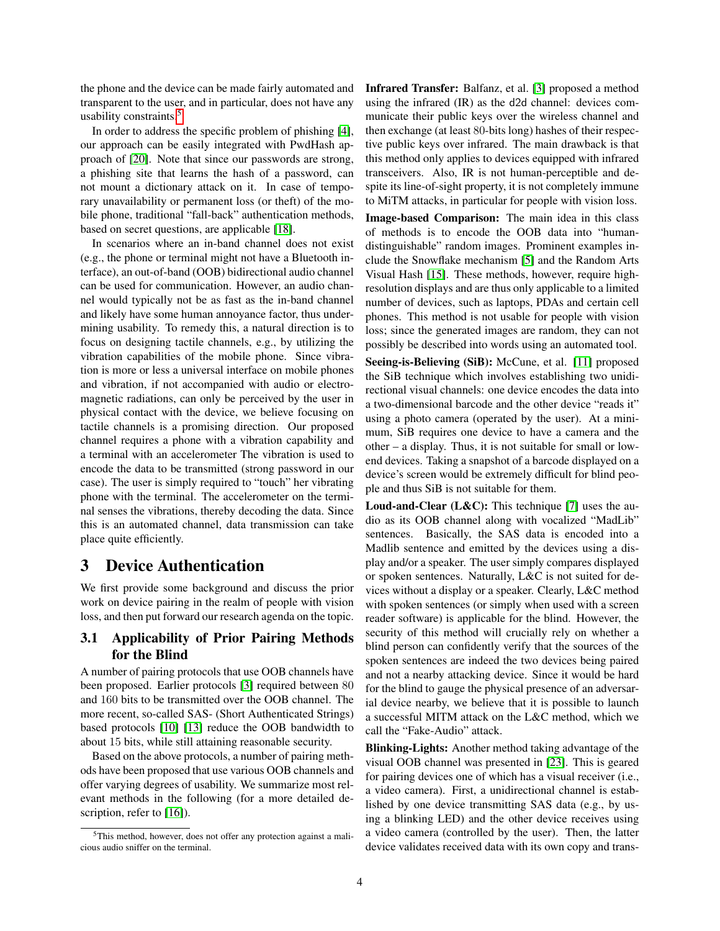the phone and the device can be made fairly automated and transparent to the user, and in particular, does not have any usability constraints.[5](#page-3-1)

In order to address the specific problem of phishing [\[4\]](#page-5-0), our approach can be easily integrated with PwdHash approach of [\[20\]](#page-5-13). Note that since our passwords are strong, a phishing site that learns the hash of a password, can not mount a dictionary attack on it. In case of temporary unavailability or permanent loss (or theft) of the mobile phone, traditional "fall-back" authentication methods, based on secret questions, are applicable [\[18\]](#page-5-14).

In scenarios where an in-band channel does not exist (e.g., the phone or terminal might not have a Bluetooth interface), an out-of-band (OOB) bidirectional audio channel can be used for communication. However, an audio channel would typically not be as fast as the in-band channel and likely have some human annoyance factor, thus undermining usability. To remedy this, a natural direction is to focus on designing tactile channels, e.g., by utilizing the vibration capabilities of the mobile phone. Since vibration is more or less a universal interface on mobile phones and vibration, if not accompanied with audio or electromagnetic radiations, can only be perceived by the user in physical contact with the device, we believe focusing on tactile channels is a promising direction. Our proposed channel requires a phone with a vibration capability and a terminal with an accelerometer The vibration is used to encode the data to be transmitted (strong password in our case). The user is simply required to "touch" her vibrating phone with the terminal. The accelerometer on the terminal senses the vibrations, thereby decoding the data. Since this is an automated channel, data transmission can take place quite efficiently.

# <span id="page-3-0"></span>3 Device Authentication

We first provide some background and discuss the prior work on device pairing in the realm of people with vision loss, and then put forward our research agenda on the topic.

## 3.1 Applicability of Prior Pairing Methods for the Blind

A number of pairing protocols that use OOB channels have been proposed. Earlier protocols [\[3\]](#page-5-15) required between 80 and 160 bits to be transmitted over the OOB channel. The more recent, so-called SAS- (Short Authenticated Strings) based protocols [\[10\]](#page-5-16) [\[13\]](#page-5-17) reduce the OOB bandwidth to about 15 bits, while still attaining reasonable security.

Based on the above protocols, a number of pairing methods have been proposed that use various OOB channels and offer varying degrees of usability. We summarize most relevant methods in the following (for a more detailed de-scription, refer to [\[16\]](#page-5-18)).

Infrared Transfer: Balfanz, et al. [\[3\]](#page-5-15) proposed a method using the infrared (IR) as the d2d channel: devices communicate their public keys over the wireless channel and then exchange (at least 80-bits long) hashes of their respective public keys over infrared. The main drawback is that this method only applies to devices equipped with infrared transceivers. Also, IR is not human-perceptible and despite its line-of-sight property, it is not completely immune to MiTM attacks, in particular for people with vision loss.

Image-based Comparison: The main idea in this class of methods is to encode the OOB data into "humandistinguishable" random images. Prominent examples include the Snowflake mechanism [\[5\]](#page-5-19) and the Random Arts Visual Hash [\[15\]](#page-5-20). These methods, however, require highresolution displays and are thus only applicable to a limited number of devices, such as laptops, PDAs and certain cell phones. This method is not usable for people with vision loss; since the generated images are random, they can not possibly be described into words using an automated tool.

Seeing-is-Believing (SiB): McCune, et al. [\[11\]](#page-5-21) proposed the SiB technique which involves establishing two unidirectional visual channels: one device encodes the data into a two-dimensional barcode and the other device "reads it" using a photo camera (operated by the user). At a minimum, SiB requires one device to have a camera and the other – a display. Thus, it is not suitable for small or lowend devices. Taking a snapshot of a barcode displayed on a device's screen would be extremely difficult for blind people and thus SiB is not suitable for them.

Loud-and-Clear (L&C): This technique [\[7\]](#page-5-22) uses the audio as its OOB channel along with vocalized "MadLib" sentences. Basically, the SAS data is encoded into a Madlib sentence and emitted by the devices using a display and/or a speaker. The user simply compares displayed or spoken sentences. Naturally, L&C is not suited for devices without a display or a speaker. Clearly, L&C method with spoken sentences (or simply when used with a screen reader software) is applicable for the blind. However, the security of this method will crucially rely on whether a blind person can confidently verify that the sources of the spoken sentences are indeed the two devices being paired and not a nearby attacking device. Since it would be hard for the blind to gauge the physical presence of an adversarial device nearby, we believe that it is possible to launch a successful MITM attack on the L&C method, which we call the "Fake-Audio" attack.

Blinking-Lights: Another method taking advantage of the visual OOB channel was presented in [\[23\]](#page-5-23). This is geared for pairing devices one of which has a visual receiver (i.e., a video camera). First, a unidirectional channel is established by one device transmitting SAS data (e.g., by using a blinking LED) and the other device receives using a video camera (controlled by the user). Then, the latter device validates received data with its own copy and trans-

<span id="page-3-1"></span><sup>5</sup>This method, however, does not offer any protection against a malicious audio sniffer on the terminal.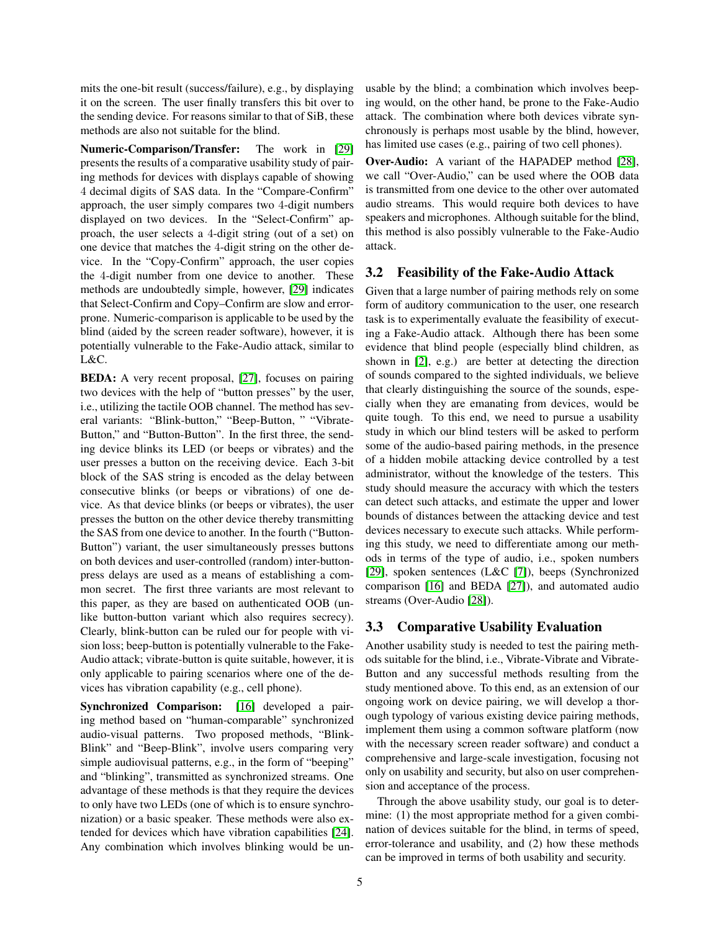mits the one-bit result (success/failure), e.g., by displaying it on the screen. The user finally transfers this bit over to the sending device. For reasons similar to that of SiB, these methods are also not suitable for the blind.

Numeric-Comparison/Transfer: The work in [\[29\]](#page-5-24) presents the results of a comparative usability study of pairing methods for devices with displays capable of showing 4 decimal digits of SAS data. In the "Compare-Confirm" approach, the user simply compares two 4-digit numbers displayed on two devices. In the "Select-Confirm" approach, the user selects a 4-digit string (out of a set) on one device that matches the 4-digit string on the other device. In the "Copy-Confirm" approach, the user copies the 4-digit number from one device to another. These methods are undoubtedly simple, however, [\[29\]](#page-5-24) indicates that Select-Confirm and Copy–Confirm are slow and errorprone. Numeric-comparison is applicable to be used by the blind (aided by the screen reader software), however, it is potentially vulnerable to the Fake-Audio attack, similar to L&C.

BEDA: A very recent proposal, [\[27\]](#page-5-25), focuses on pairing two devices with the help of "button presses" by the user, i.e., utilizing the tactile OOB channel. The method has several variants: "Blink-button," "Beep-Button, " "Vibrate-Button," and "Button-Button". In the first three, the sending device blinks its LED (or beeps or vibrates) and the user presses a button on the receiving device. Each 3-bit block of the SAS string is encoded as the delay between consecutive blinks (or beeps or vibrations) of one device. As that device blinks (or beeps or vibrates), the user presses the button on the other device thereby transmitting the SAS from one device to another. In the fourth ("Button-Button") variant, the user simultaneously presses buttons on both devices and user-controlled (random) inter-buttonpress delays are used as a means of establishing a common secret. The first three variants are most relevant to this paper, as they are based on authenticated OOB (unlike button-button variant which also requires secrecy). Clearly, blink-button can be ruled our for people with vision loss; beep-button is potentially vulnerable to the Fake-Audio attack; vibrate-button is quite suitable, however, it is only applicable to pairing scenarios where one of the devices has vibration capability (e.g., cell phone).

Synchronized Comparison: [\[16\]](#page-5-18) developed a pairing method based on "human-comparable" synchronized audio-visual patterns. Two proposed methods, "Blink-Blink" and "Beep-Blink", involve users comparing very simple audiovisual patterns, e.g., in the form of "beeping" and "blinking", transmitted as synchronized streams. One advantage of these methods is that they require the devices to only have two LEDs (one of which is to ensure synchronization) or a basic speaker. These methods were also extended for devices which have vibration capabilities [\[24\]](#page-5-26). Any combination which involves blinking would be unusable by the blind; a combination which involves beeping would, on the other hand, be prone to the Fake-Audio attack. The combination where both devices vibrate synchronously is perhaps most usable by the blind, however, has limited use cases (e.g., pairing of two cell phones).

Over-Audio: A variant of the HAPADEP method [\[28\]](#page-5-27), we call "Over-Audio," can be used where the OOB data is transmitted from one device to the other over automated audio streams. This would require both devices to have speakers and microphones. Although suitable for the blind, this method is also possibly vulnerable to the Fake-Audio attack.

#### <span id="page-4-0"></span>3.2 Feasibility of the Fake-Audio Attack

Given that a large number of pairing methods rely on some form of auditory communication to the user, one research task is to experimentally evaluate the feasibility of executing a Fake-Audio attack. Although there has been some evidence that blind people (especially blind children, as shown in [\[2\]](#page-5-28), e.g.) are better at detecting the direction of sounds compared to the sighted individuals, we believe that clearly distinguishing the source of the sounds, especially when they are emanating from devices, would be quite tough. To this end, we need to pursue a usability study in which our blind testers will be asked to perform some of the audio-based pairing methods, in the presence of a hidden mobile attacking device controlled by a test administrator, without the knowledge of the testers. This study should measure the accuracy with which the testers can detect such attacks, and estimate the upper and lower bounds of distances between the attacking device and test devices necessary to execute such attacks. While performing this study, we need to differentiate among our methods in terms of the type of audio, i.e., spoken numbers [\[29\]](#page-5-24), spoken sentences (L&C [\[7\]](#page-5-22)), beeps (Synchronized comparison [\[16\]](#page-5-18) and BEDA [\[27\]](#page-5-25)), and automated audio streams (Over-Audio [\[28\]](#page-5-27)).

## 3.3 Comparative Usability Evaluation

Another usability study is needed to test the pairing methods suitable for the blind, i.e., Vibrate-Vibrate and Vibrate-Button and any successful methods resulting from the study mentioned above. To this end, as an extension of our ongoing work on device pairing, we will develop a thorough typology of various existing device pairing methods, implement them using a common software platform (now with the necessary screen reader software) and conduct a comprehensive and large-scale investigation, focusing not only on usability and security, but also on user comprehension and acceptance of the process.

Through the above usability study, our goal is to determine: (1) the most appropriate method for a given combination of devices suitable for the blind, in terms of speed, error-tolerance and usability, and (2) how these methods can be improved in terms of both usability and security.